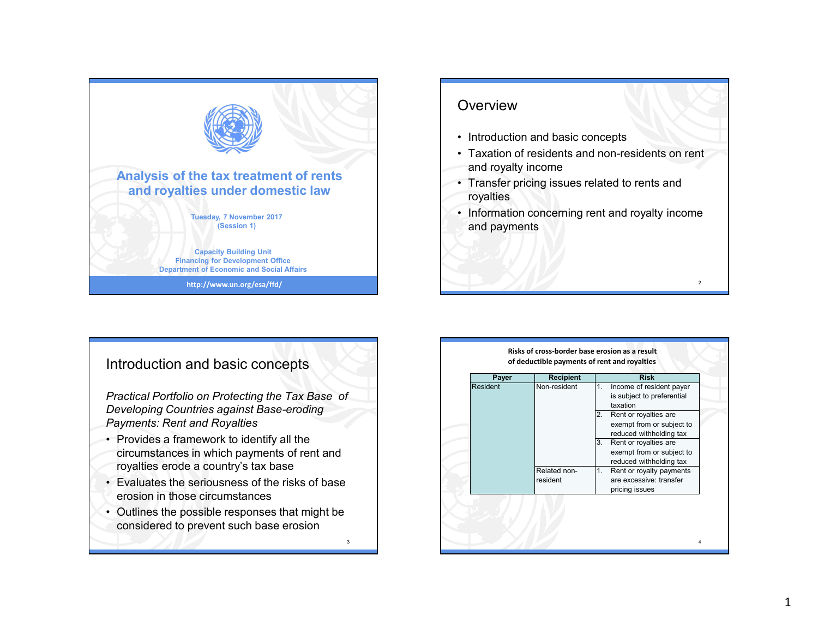



#### Introduction and basic concepts

*Practical Portfolio on Protecting the Tax Base of Developing Countries against Base-eroding Payments: Rent and Royalties*

- Provides a framework to identify all the circumstances in which payments of rent and royalties erode a country's tax base
- Evaluates the seriousness of the risks of base erosion in those circumstances
- Outlines the possible responses that might be considered to prevent such base erosion

3

| Payer<br>Resident | <b>Recipient</b><br>Non-resident | <b>Risk</b><br>1.<br>Income of resident payer<br>is subject to preferential                                    |
|-------------------|----------------------------------|----------------------------------------------------------------------------------------------------------------|
|                   |                                  | taxation<br>Rent or royalties are<br>2.<br>exempt from or subject to                                           |
|                   |                                  | reduced withholding tax<br>Rent or royalties are<br>3.<br>exempt from or subject to<br>reduced withholding tax |
|                   | Related non-<br>resident         | Rent or royalty payments<br>1.<br>are excessive: transfer<br>pricing issues                                    |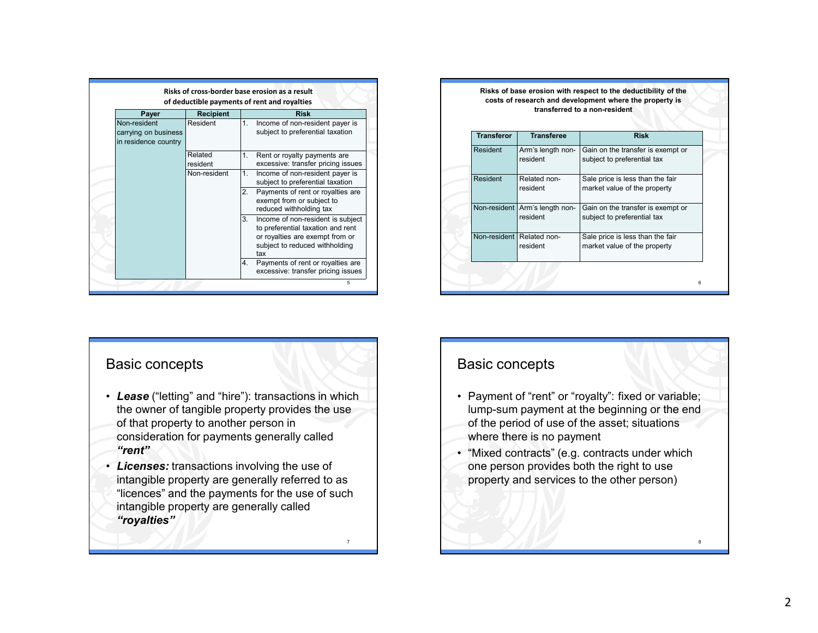|                                                              |                     | Risks of cross-border base erosion as a result<br>of deductible payments of rent and royalties                                                           |
|--------------------------------------------------------------|---------------------|----------------------------------------------------------------------------------------------------------------------------------------------------------|
| Payer                                                        | <b>Recipient</b>    | <b>Risk</b>                                                                                                                                              |
| Non-resident<br>carrying on business<br>in residence country | Resident            | Income of non-resident payer is<br>1.<br>subject to preferential taxation                                                                                |
|                                                              | Related<br>resident | Rent or royalty payments are<br>1.<br>excessive: transfer pricing issues                                                                                 |
|                                                              | Non-resident        | Income of non-resident payer is<br>1.<br>subject to preferential taxation                                                                                |
|                                                              |                     | Payments of rent or royalties are<br>2.<br>exempt from or subject to<br>reduced withholding tax                                                          |
|                                                              |                     | 3.<br>Income of non-resident is subject<br>to preferential taxation and rent<br>or royalties are exempt from or<br>subject to reduced withholding<br>tax |
|                                                              |                     | Payments of rent or royalties are<br>4.<br>excessive: transfer pricing issues                                                                            |
|                                                              |                     | 5                                                                                                                                                        |

| <b>Transferor</b> | <b>Transferee</b>                     | <b>Risk</b>                                                      |  |  |
|-------------------|---------------------------------------|------------------------------------------------------------------|--|--|
| Resident          | Arm's length non-<br>resident         | Gain on the transfer is exempt or<br>subject to preferential tax |  |  |
| Resident          | Related non-<br>resident              | Sale price is less than the fair<br>market value of the property |  |  |
| Non-resident      | Arm's length non-<br>resident         | Gain on the transfer is exempt or<br>subject to preferential tax |  |  |
|                   | Non-resident Related non-<br>resident | Sale price is less than the fair<br>market value of the property |  |  |

#### Basic concepts

- *Lease* ("letting" and "hire"): transactions in which the owner of tangible property provides the use of that property to another person in consideration for payments generally called *"rent"*
- *Licenses:* transactions involving the use of intangible property are generally referred to as "licences" and the payments for the use of such intangible property are generally called *"royalties"*

7

### Basic concepts

- Payment of "rent" or "royalty": fixed or variable; lump-sum payment at the beginning or the end of the period of use of the asset; situations where there is no payment
- • "Mixed contracts" (e.g. contracts under which one person provides both the right to use property and services to the other person)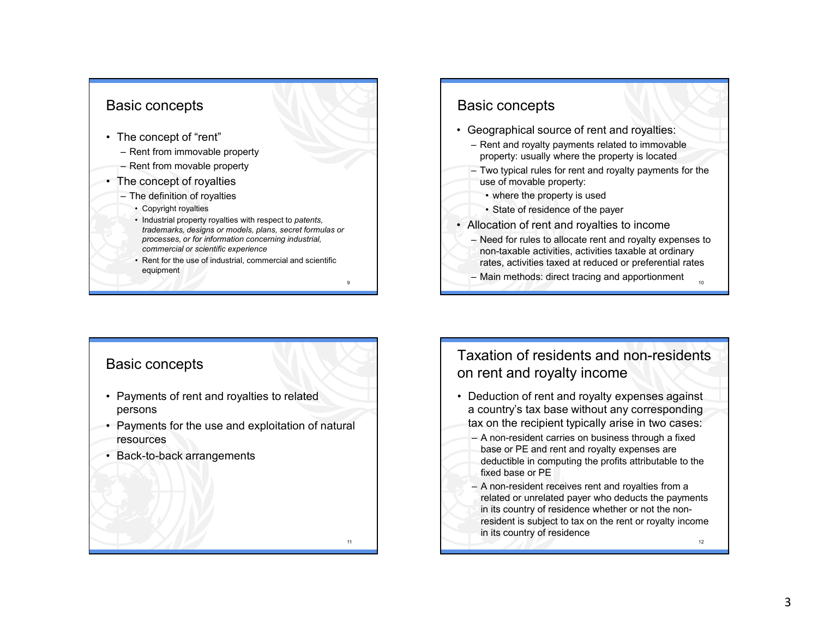#### Basic concepts

- The concept of "rent"
	- Rent from immovable property
	- Rent from movable property
- The concept of royalties
	- The definition of royalties
		- Copyright royalties
		- Industrial property royalties with respect to *patents, trademarks, designs or models, plans, secret formulas or processes, or for information concerning industrial, commercial or scientific experience*
		- Rent for the use of industrial, commercial and scientific equipment

9

11

#### Basic concepts

- Geographical source of rent and royalties:
	- Rent and royalty payments related to immovable property: usually where the property is located
	- Two typical rules for rent and royalty payments for the use of movable property:
		- where the property is used
		- State of residence of the payer
- Allocation of rent and royalties to income
	- Need for rules to allocate rent and royalty expenses to non-taxable activities, activities taxable at ordinary rates, activities taxed at reduced or preferential rates

10

– Main methods: direct tracing and apportionment

#### Basic concepts

- Payments of rent and royalties to related persons
- Payments for the use and exploitation of natural resources
- Back-to-back arrangements

## Taxation of residents and non-residents on rent and royalty income

- Deduction of rent and royalty expenses against a country's tax base without any corresponding tax on the recipient typically arise in two cases:
	- A non-resident carries on business through a fixed base or PE and rent and royalty expenses are deductible in computing the profits attributable to the fixed base or PE
	- 12 – A non-resident receives rent and royalties from a related or unrelated payer who deducts the payments in its country of residence whether or not the nonresident is subject to tax on the rent or royalty income in its country of residence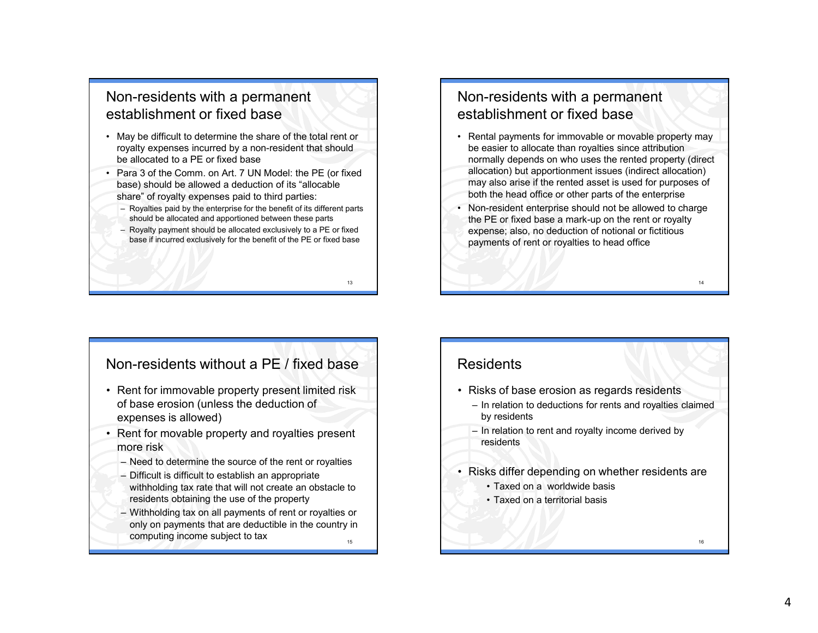### Non-residents with a permanent establishment or fixed base

- May be difficult to determine the share of the total rent or royalty expenses incurred by a non-resident that should be allocated to a PE or fixed base
- Para 3 of the Comm. on Art. 7 UN Model: the PE (or fixed<br>has a based should be allowed a deduction of its "allocable base) should be allowed a deduction of its "allocable share" of royalty expenses paid to third parties:
	- Royalties paid by the enterprise for the benefit of its different parts should be allocated and apportioned between these parts
	- Royalty payment should be allocated exclusively to a PE or fixed base if incurred exclusively for the benefit of the PE or fixed base

13

### Non-residents with a permanent establishment or fixed base

- Rental payments for immovable or movable property may be easier to allocate than royalties since attribution normally depends on who uses the rented property (direct allocation) but apportionment issues (indirect allocation) may also arise if the rented asset is used for purposes of both the head office or other parts of the enterprise
- Non-resident enterprise should not be allowed to charge<br>the PE at fixed base a mark up an the rant or rayply. the PE or fixed base a mark-up on the rent or royalty expense; also, no deduction of notional or fictitious payments of rent or royalties to head office

14

### Non-residents without a PE / fixed base

- Rent for immovable property present limited risk<br>ef base aregion (unless the deduction of of base erosion (unless the deduction of expenses is allowed)
- Rent for movable property and royalties present more risk
	- Need to determine the source of the rent or royalties
	- Difficult is difficult to establish an appropriate withholding tax rate that will not create an obstacle to residents obtaining the use of the property
	- 15 – Withholding tax on all payments of rent or royalties or only on payments that are deductible in the country incomputing income subject to taxе процесс в применении процесс в применении процесс в применении процесс в применении процесс в применении про<br>В 16 июля применения применения применения применения применения применения применения применения применения п

### **Residents**

- Risks of base erosion as regards residents
	- In relation to deductions for rents and royalties claimed by residents
	- In relation to rent and royalty income derived by residents
- Risks differ depending on whether residents are
	- Taxed on a worldwide basis
	- Taxed on a territorial basis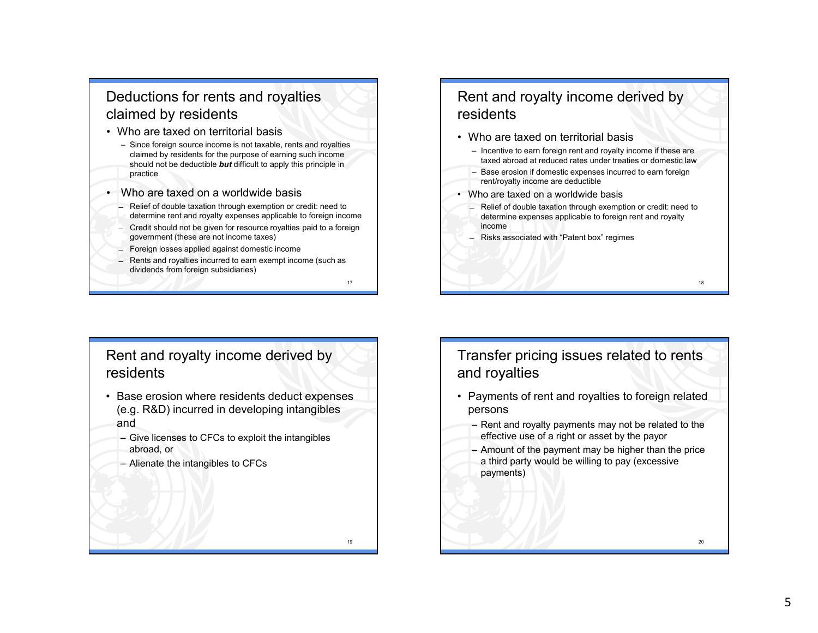# Deductions for rents and royalties claimed by residents

- Who are taxed on territorial basis
	- Since foreign source income is not taxable, rents and royalties claimed by residents for the purpose of earning such income should not be deductible *but* difficult to apply this principle in practice
- • Who are taxed on a worldwide basis
	- Relief of double taxation through exemption or credit: need to determine rent and royalty expenses applicable to foreign income
	- Credit should not be given for resource royalties paid to a foreign government (these are not income taxes)
	- ̶ Foreign losses applied against domestic income
	- ̶ Rents and royalties incurred to earn exempt income (such as dividends from foreign subsidiaries)

17

19

## Rent and royalty income derived by residents

- Who are taxed on territorial basis
	- Incentive to earn foreign rent and royalty income if these are taxed abroad at reduced rates under treaties or domestic law
	- Base erosion if domestic expenses incurred to earn foreign rent/royalty income are deductible
- Who are taxed on a worldwide basis
	- Relief of double taxation through exemption or credit: need to determine expenses applicable to foreign rent and royalty income

18

20

̶ Risks associated with "Patent box" regimes

# Rent and royalty income derived by residents

- Base erosion where residents deduct expenses (e.g. R&D) incurred in developing intangibles and
	- Give licenses to CFCs to exploit the intangibles abroad, or
	- Alienate the intangibles to CFCs

# Transfer pricing issues related to rents and royalties

- Payments of rent and royalties to foreign related persons
	- Rent and royalty payments may not be related to the effective use of a right or asset by the payor
	- Amount of the payment may be higher than the price  $\epsilon$  third parts would be willing to now (overcains) a third party would be willing to pay (excessive payments)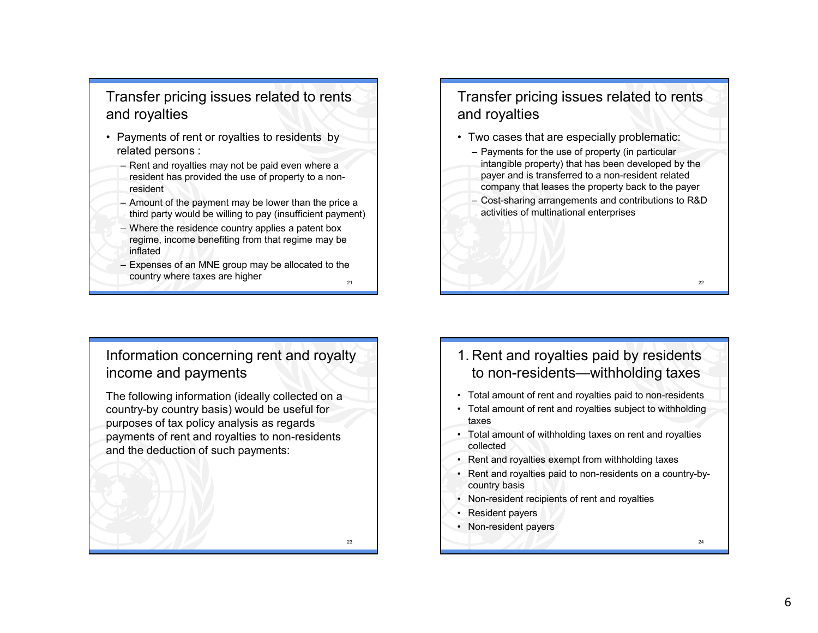# Transfer pricing issues related to rents and royalties

- Payments of rent or royalties to residents by related persons :
	- Rent and royalties may not be paid even where a resident has provided the use of property to a nonresident
	- Amount of the payment may be lower than the price a third party would be willing to pay (insufficient payment)
	- Where the residence country applies a patent box regime, income benefiting from that regime may be inflated
	- 21– Expenses of an MNE group may be allocated to the country where taxes are higherе процесство при применении с продължават в селото на селото на 1922 година в 22 деномбри 1922 година и 22 ден<br>В 1922 година от 1922 година в 1922 година от 1922 година от 1922 година от 1922 година от 1922 година от 1922

# Transfer pricing issues related to rents and royalties

- Two cases that are especially problematic:
	- Payments for the use of property (in particular intangible property) that has been developed by the payer and is transferred to a non-resident related company that leases the property back to the payer
	- Cost-sharing arrangements and contributions to R&D activities of multinational enterprises

## Information concerning rent and royalty income and payments

The following information (ideally collected on a country-by country basis) would be useful for purposes of tax policy analysis as regards payments of rent and royalties to non-residents and the deduction of such payments:

23

- 1. Rent and royalties paid by residents to non-residents—withholding taxes
- Total amount of rent and royalties paid to non-residents
- Total amount of rent and royalties subject to withholding taxes
- Total amount of withholding taxes on rent and royalties collected
- Rent and royalties exempt from withholding taxes
- Rent and royalties paid to non-residents on a country-bycountry basis
- Non-resident recipients of rent and royalties
- Resident payers
- Non-resident payers

6